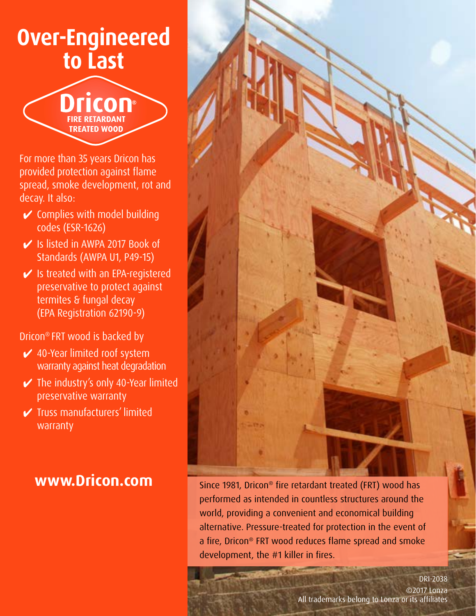# **Over-Engineered to Last**



For more than 35 years Dricon has provided protection against flame spread, smoke development, rot and decay. It also:

- $\checkmark$  Complies with model building codes (ESR-1626)
- 4 Is listed in AWPA 2017 Book of Standards (AWPA U1, P49-15)
- $\vee$  Is treated with an EPA-registered preservative to protect against termites & fungal decay (EPA Registration 62190-9)

Dricon® FRT wood is backed by

- $\swarrow$  40-Year limited roof system warranty against heat degradation
- $\vee$  The industry's only 40-Year limited preservative warranty
- 4 Truss manufacturers' limited warranty



**WWW.Dricon.com** Since 1981, Dricon® fire retardant treated (FRT) wood has performed as intended in countless structures around the world, providing a convenient and economical building alternative. Pressure-treated for protection in the event of a fire, Dricon® FRT wood reduces flame spread and smoke development, the #1 killer in fires.

> ©2017 Lonza All trademarks belong to Lonza or its affiliates DRI-2038